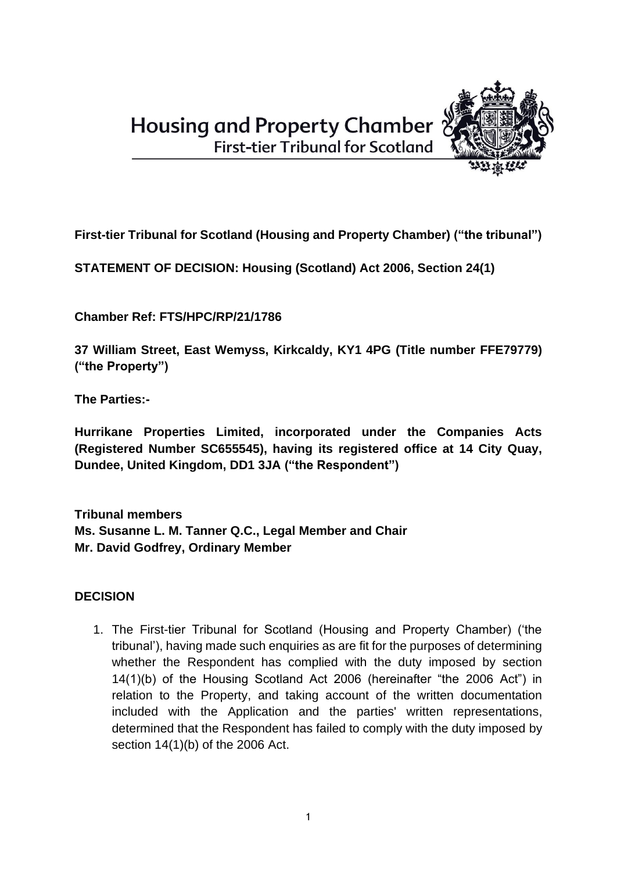**Housing and Property Chamber First-tier Tribunal for Scotland** 



**First-tier Tribunal for Scotland (Housing and Property Chamber) ("the tribunal")**

**STATEMENT OF DECISION: Housing (Scotland) Act 2006, Section 24(1)**

**Chamber Ref: FTS/HPC/RP/21/1786**

**37 William Street, East Wemyss, Kirkcaldy, KY1 4PG (Title number FFE79779) ("the Property")**

**The Parties:-**

**Hurrikane Properties Limited, incorporated under the Companies Acts (Registered Number SC655545), having its registered office at 14 City Quay, Dundee, United Kingdom, DD1 3JA ("the Respondent")** 

**Tribunal members Ms. Susanne L. M. Tanner Q.C., Legal Member and Chair Mr. David Godfrey, Ordinary Member**

# **DECISION**

1. The First-tier Tribunal for Scotland (Housing and Property Chamber) ('the tribunal'), having made such enquiries as are fit for the purposes of determining whether the Respondent has complied with the duty imposed by section 14(1)(b) of the Housing Scotland Act 2006 (hereinafter "the 2006 Act") in relation to the Property, and taking account of the written documentation included with the Application and the parties' written representations, determined that the Respondent has failed to comply with the duty imposed by section 14(1)(b) of the 2006 Act.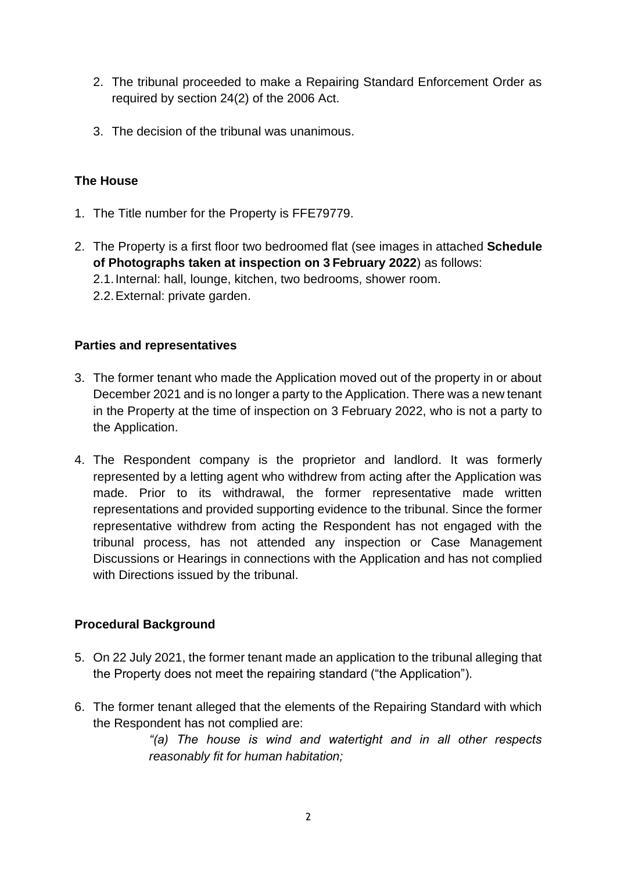- 2. The tribunal proceeded to make a Repairing Standard Enforcement Order as required by section 24(2) of the 2006 Act.
- 3. The decision of the tribunal was unanimous.

### **The House**

- 1. The Title number for the Property is FFE79779.
- 2. The Property is a first floor two bedroomed flat (see images in attached **Schedule of Photographs taken at inspection on 3 February 2022**) as follows:
	- 2.1.Internal: hall, lounge, kitchen, two bedrooms, shower room.
	- 2.2.External: private garden.

#### **Parties and representatives**

- 3. The former tenant who made the Application moved out of the property in or about December 2021 and is no longer a party to the Application. There was a new tenant in the Property at the time of inspection on 3 February 2022, who is not a party to the Application.
- 4. The Respondent company is the proprietor and landlord. It was formerly represented by a letting agent who withdrew from acting after the Application was made. Prior to its withdrawal, the former representative made written representations and provided supporting evidence to the tribunal. Since the former representative withdrew from acting the Respondent has not engaged with the tribunal process, has not attended any inspection or Case Management Discussions or Hearings in connections with the Application and has not complied with Directions issued by the tribunal.

#### **Procedural Background**

- 5. On 22 July 2021, the former tenant made an application to the tribunal alleging that the Property does not meet the repairing standard ("the Application").
- 6. The former tenant alleged that the elements of the Repairing Standard with which the Respondent has not complied are:

*"(a) The house is wind and watertight and in all other respects reasonably fit for human habitation;*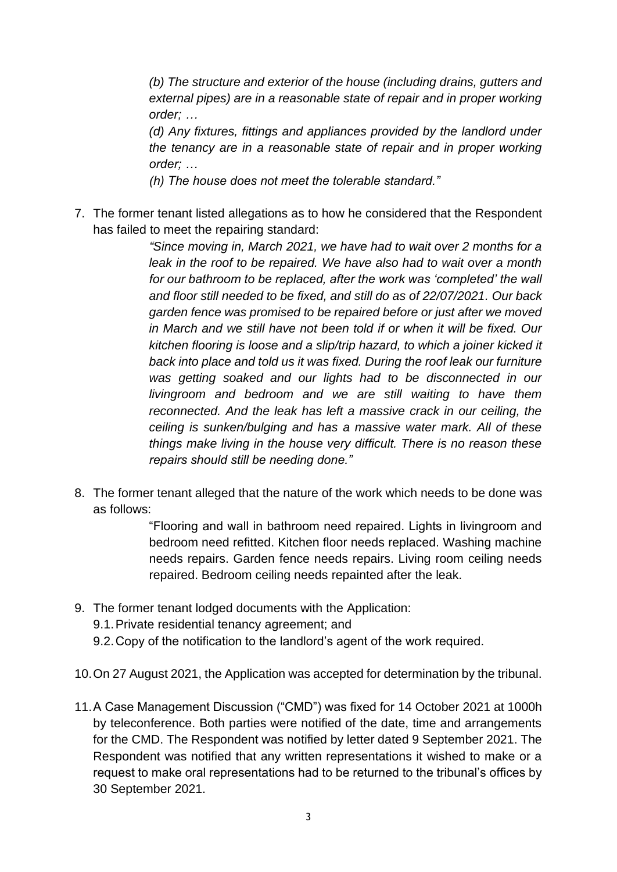*(b) The structure and exterior of the house (including drains, gutters and external pipes) are in a reasonable state of repair and in proper working order; …*

*(d) Any fixtures, fittings and appliances provided by the landlord under the tenancy are in a reasonable state of repair and in proper working order; …*

*(h) The house does not meet the tolerable standard."*

7. The former tenant listed allegations as to how he considered that the Respondent has failed to meet the repairing standard:

> *"Since moving in, March 2021, we have had to wait over 2 months for a leak in the roof to be repaired. We have also had to wait over a month for our bathroom to be replaced, after the work was 'completed' the wall and floor still needed to be fixed, and still do as of 22/07/2021. Our back garden fence was promised to be repaired before or just after we moved in March and we still have not been told if or when it will be fixed. Our kitchen flooring is loose and a slip/trip hazard, to which a joiner kicked it back into place and told us it was fixed. During the roof leak our furniture was getting soaked and our lights had to be disconnected in our livingroom and bedroom and we are still waiting to have them reconnected. And the leak has left a massive crack in our ceiling, the ceiling is sunken/bulging and has a massive water mark. All of these things make living in the house very difficult. There is no reason these repairs should still be needing done."*

8. The former tenant alleged that the nature of the work which needs to be done was as follows:

> "Flooring and wall in bathroom need repaired. Lights in livingroom and bedroom need refitted. Kitchen floor needs replaced. Washing machine needs repairs. Garden fence needs repairs. Living room ceiling needs repaired. Bedroom ceiling needs repainted after the leak.

- 9. The former tenant lodged documents with the Application:
	- 9.1.Private residential tenancy agreement; and
	- 9.2.Copy of the notification to the landlord's agent of the work required.
- 10.On 27 August 2021, the Application was accepted for determination by the tribunal.
- 11.A Case Management Discussion ("CMD") was fixed for 14 October 2021 at 1000h by teleconference. Both parties were notified of the date, time and arrangements for the CMD. The Respondent was notified by letter dated 9 September 2021. The Respondent was notified that any written representations it wished to make or a request to make oral representations had to be returned to the tribunal's offices by 30 September 2021.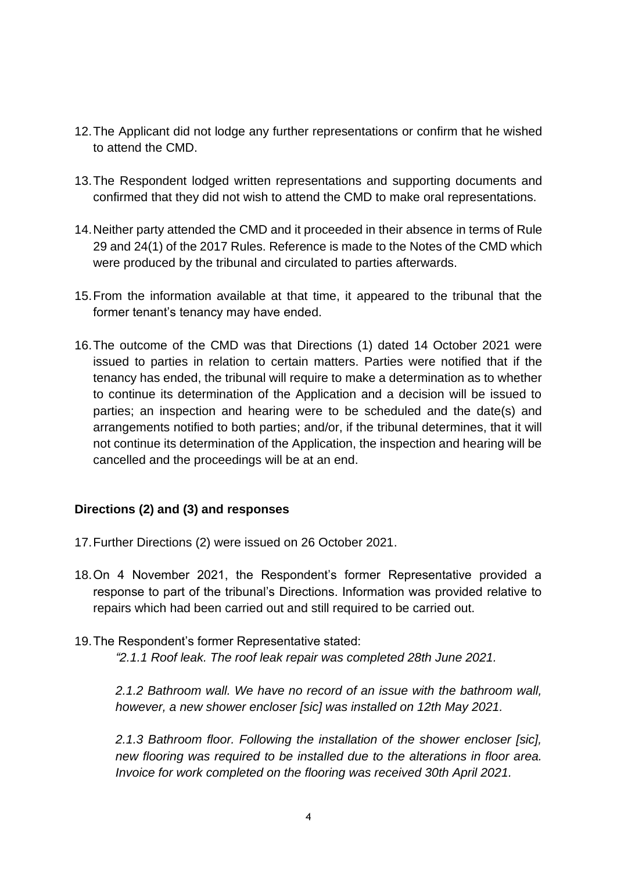- 12.The Applicant did not lodge any further representations or confirm that he wished to attend the CMD.
- 13.The Respondent lodged written representations and supporting documents and confirmed that they did not wish to attend the CMD to make oral representations.
- 14.Neither party attended the CMD and it proceeded in their absence in terms of Rule 29 and 24(1) of the 2017 Rules. Reference is made to the Notes of the CMD which were produced by the tribunal and circulated to parties afterwards.
- 15.From the information available at that time, it appeared to the tribunal that the former tenant's tenancy may have ended.
- 16.The outcome of the CMD was that Directions (1) dated 14 October 2021 were issued to parties in relation to certain matters. Parties were notified that if the tenancy has ended, the tribunal will require to make a determination as to whether to continue its determination of the Application and a decision will be issued to parties; an inspection and hearing were to be scheduled and the date(s) and arrangements notified to both parties; and/or, if the tribunal determines, that it will not continue its determination of the Application, the inspection and hearing will be cancelled and the proceedings will be at an end.

### **Directions (2) and (3) and responses**

- 17.Further Directions (2) were issued on 26 October 2021.
- 18.On 4 November 2021, the Respondent's former Representative provided a response to part of the tribunal's Directions. Information was provided relative to repairs which had been carried out and still required to be carried out.
- 19.The Respondent's former Representative stated: *"2.1.1 Roof leak. The roof leak repair was completed 28th June 2021.*

*2.1.2 Bathroom wall. We have no record of an issue with the bathroom wall, however, a new shower encloser [sic] was installed on 12th May 2021.* 

*2.1.3 Bathroom floor. Following the installation of the shower encloser [sic], new flooring was required to be installed due to the alterations in floor area. Invoice for work completed on the flooring was received 30th April 2021.*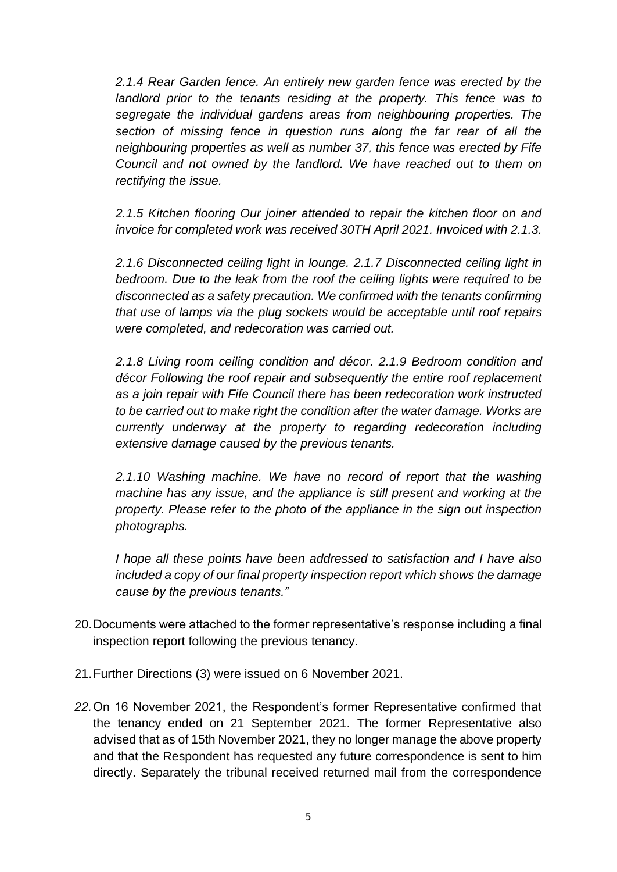*2.1.4 Rear Garden fence. An entirely new garden fence was erected by the landlord prior to the tenants residing at the property. This fence was to segregate the individual gardens areas from neighbouring properties. The section of missing fence in question runs along the far rear of all the neighbouring properties as well as number 37, this fence was erected by Fife Council and not owned by the landlord. We have reached out to them on rectifying the issue.* 

*2.1.5 Kitchen flooring Our joiner attended to repair the kitchen floor on and invoice for completed work was received 30TH April 2021. Invoiced with 2.1.3.*

*2.1.6 Disconnected ceiling light in lounge. 2.1.7 Disconnected ceiling light in bedroom. Due to the leak from the roof the ceiling lights were required to be disconnected as a safety precaution. We confirmed with the tenants confirming that use of lamps via the plug sockets would be acceptable until roof repairs were completed, and redecoration was carried out.* 

*2.1.8 Living room ceiling condition and décor. 2.1.9 Bedroom condition and décor Following the roof repair and subsequently the entire roof replacement as a join repair with Fife Council there has been redecoration work instructed to be carried out to make right the condition after the water damage. Works are currently underway at the property to regarding redecoration including extensive damage caused by the previous tenants.* 

*2.1.10 Washing machine. We have no record of report that the washing machine has any issue, and the appliance is still present and working at the property. Please refer to the photo of the appliance in the sign out inspection photographs.* 

*I hope all these points have been addressed to satisfaction and I have also included a copy of our final property inspection report which shows the damage cause by the previous tenants."*

- 20.Documents were attached to the former representative's response including a final inspection report following the previous tenancy.
- 21.Further Directions (3) were issued on 6 November 2021.
- *22.*On 16 November 2021, the Respondent's former Representative confirmed that the tenancy ended on 21 September 2021. The former Representative also advised that as of 15th November 2021, they no longer manage the above property and that the Respondent has requested any future correspondence is sent to him directly. Separately the tribunal received returned mail from the correspondence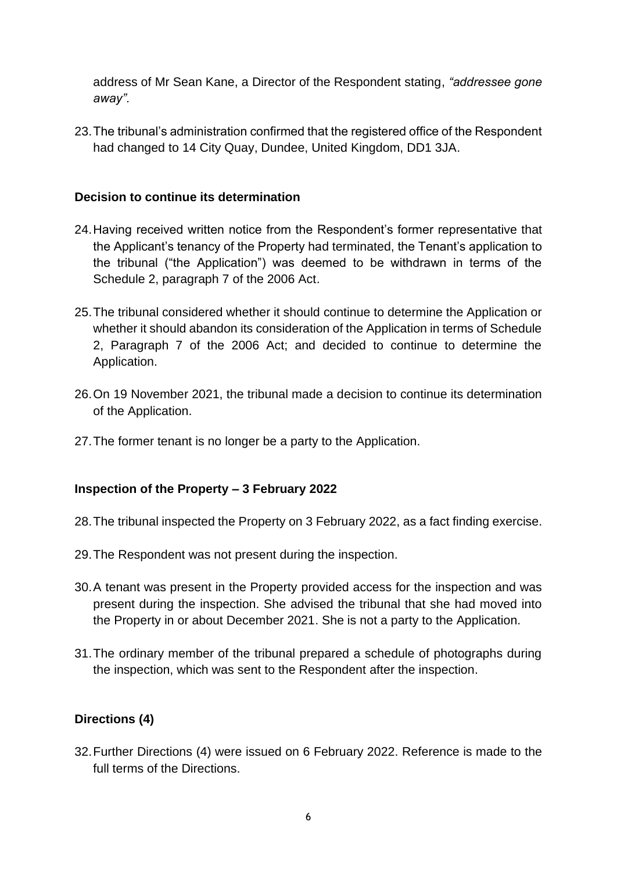address of Mr Sean Kane, a Director of the Respondent stating, *"addressee gone away".*

23.The tribunal's administration confirmed that the registered office of the Respondent had changed to 14 City Quay, Dundee, United Kingdom, DD1 3JA.

#### **Decision to continue its determination**

- 24.Having received written notice from the Respondent's former representative that the Applicant's tenancy of the Property had terminated, the Tenant's application to the tribunal ("the Application") was deemed to be withdrawn in terms of the Schedule 2, paragraph 7 of the 2006 Act.
- 25.The tribunal considered whether it should continue to determine the Application or whether it should abandon its consideration of the Application in terms of Schedule 2, Paragraph 7 of the 2006 Act; and decided to continue to determine the Application.
- 26.On 19 November 2021, the tribunal made a decision to continue its determination of the Application.
- 27.The former tenant is no longer be a party to the Application.

#### **Inspection of the Property – 3 February 2022**

- 28.The tribunal inspected the Property on 3 February 2022, as a fact finding exercise.
- 29.The Respondent was not present during the inspection.
- 30.A tenant was present in the Property provided access for the inspection and was present during the inspection. She advised the tribunal that she had moved into the Property in or about December 2021. She is not a party to the Application.
- 31.The ordinary member of the tribunal prepared a schedule of photographs during the inspection, which was sent to the Respondent after the inspection.

#### **Directions (4)**

32.Further Directions (4) were issued on 6 February 2022. Reference is made to the full terms of the Directions.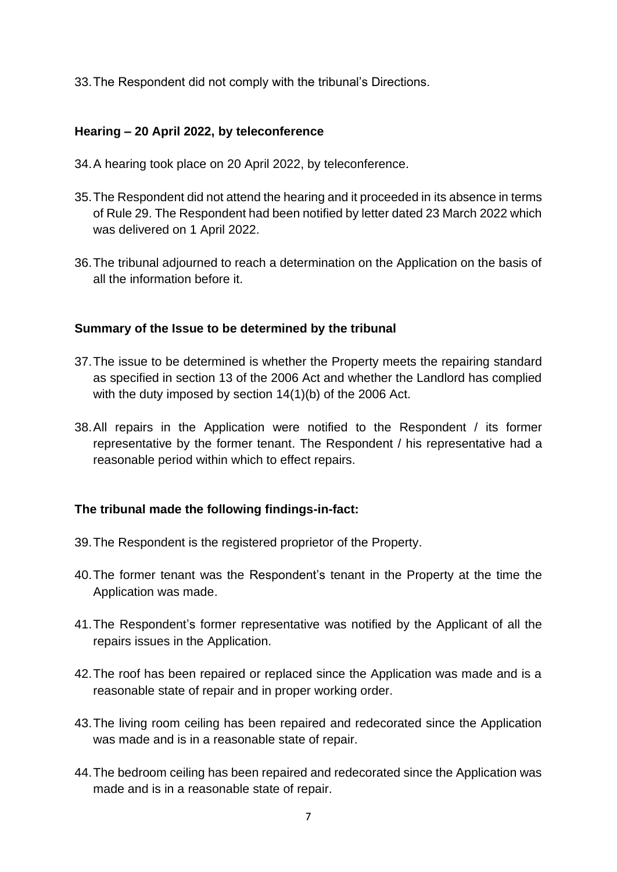33.The Respondent did not comply with the tribunal's Directions.

## **Hearing – 20 April 2022, by teleconference**

- 34.A hearing took place on 20 April 2022, by teleconference.
- 35.The Respondent did not attend the hearing and it proceeded in its absence in terms of Rule 29. The Respondent had been notified by letter dated 23 March 2022 which was delivered on 1 April 2022.
- 36.The tribunal adjourned to reach a determination on the Application on the basis of all the information before it.

#### **Summary of the Issue to be determined by the tribunal**

- 37.The issue to be determined is whether the Property meets the repairing standard as specified in section 13 of the 2006 Act and whether the Landlord has complied with the duty imposed by section 14(1)(b) of the 2006 Act.
- 38.All repairs in the Application were notified to the Respondent / its former representative by the former tenant. The Respondent / his representative had a reasonable period within which to effect repairs.

### **The tribunal made the following findings-in-fact:**

- 39.The Respondent is the registered proprietor of the Property.
- 40.The former tenant was the Respondent's tenant in the Property at the time the Application was made.
- 41.The Respondent's former representative was notified by the Applicant of all the repairs issues in the Application.
- 42.The roof has been repaired or replaced since the Application was made and is a reasonable state of repair and in proper working order.
- 43.The living room ceiling has been repaired and redecorated since the Application was made and is in a reasonable state of repair.
- 44.The bedroom ceiling has been repaired and redecorated since the Application was made and is in a reasonable state of repair.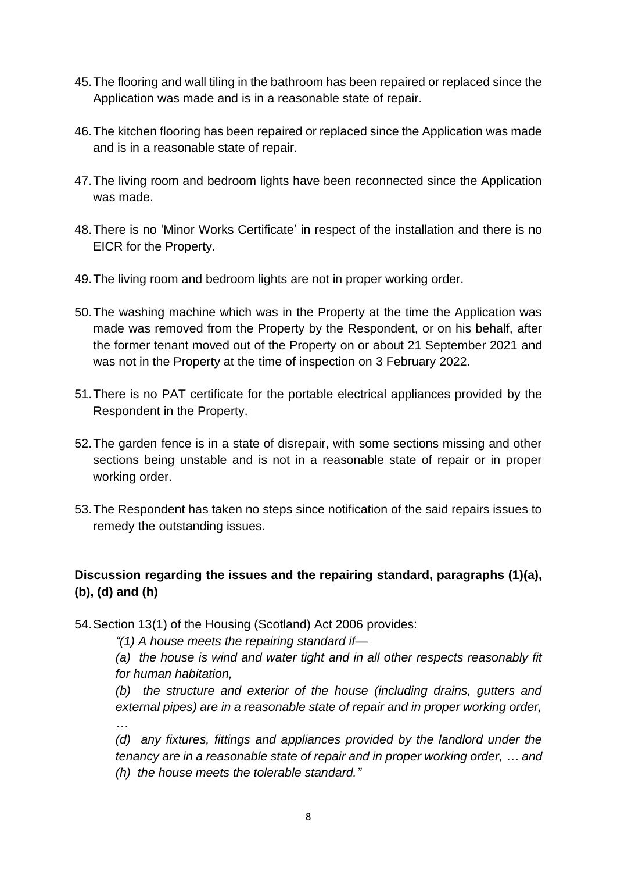- 45.The flooring and wall tiling in the bathroom has been repaired or replaced since the Application was made and is in a reasonable state of repair.
- 46.The kitchen flooring has been repaired or replaced since the Application was made and is in a reasonable state of repair.
- 47.The living room and bedroom lights have been reconnected since the Application was made.
- 48.There is no 'Minor Works Certificate' in respect of the installation and there is no EICR for the Property.
- 49.The living room and bedroom lights are not in proper working order.
- 50.The washing machine which was in the Property at the time the Application was made was removed from the Property by the Respondent, or on his behalf, after the former tenant moved out of the Property on or about 21 September 2021 and was not in the Property at the time of inspection on 3 February 2022.
- 51.There is no PAT certificate for the portable electrical appliances provided by the Respondent in the Property.
- 52.The garden fence is in a state of disrepair, with some sections missing and other sections being unstable and is not in a reasonable state of repair or in proper working order.
- 53.The Respondent has taken no steps since notification of the said repairs issues to remedy the outstanding issues.

# **Discussion regarding the issues and the repairing standard, paragraphs (1)(a), (b), (d) and (h)**

54.Section 13(1) of the Housing (Scotland) Act 2006 provides:

*"(1) A house meets the repairing standard if—*

*(a) the house is wind and water tight and in all other respects reasonably fit for human habitation,*

*(b) the structure and exterior of the house (including drains, gutters and external pipes) are in a reasonable state of repair and in proper working order, …*

*(d) any fixtures, fittings and appliances provided by the landlord under the tenancy are in a reasonable state of repair and in proper working order, … and (h) the house meets the tolerable standard."*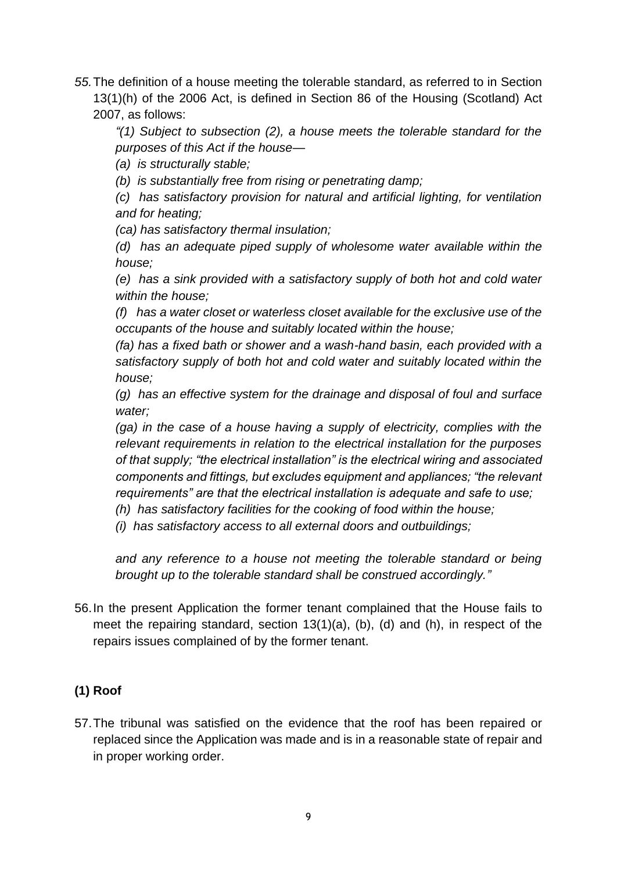*55.*The definition of a house meeting the tolerable standard, as referred to in Section 13(1)(h) of the 2006 Act, is defined in Section 86 of the Housing (Scotland) Act 2007, as follows:

*"(1) Subject to subsection (2), a house meets the tolerable standard for the purposes of this Act if the house—*

*(a) is structurally stable;*

*(b) is substantially free from rising or penetrating damp;*

*(c) has satisfactory provision for natural and artificial lighting, for ventilation and for heating;*

*(ca) has satisfactory thermal insulation;*

*(d) has an adequate piped supply of wholesome water available within the house;*

*(e) has a sink provided with a satisfactory supply of both hot and cold water within the house;*

*(f) has a water closet or waterless closet available for the exclusive use of the occupants of the house and suitably located within the house;* 

*(fa) has a fixed bath or shower and a wash-hand basin, each provided with a satisfactory supply of both hot and cold water and suitably located within the house;*

*(g) has an effective system for the drainage and disposal of foul and surface water;*

*(ga) in the case of a house having a supply of electricity, complies with the relevant requirements in relation to the electrical installation for the purposes of that supply; "the electrical installation" is the electrical wiring and associated components and fittings, but excludes equipment and appliances; "the relevant requirements" are that the electrical installation is adequate and safe to use;*

*(h) has satisfactory facilities for the cooking of food within the house;*

*(i) has satisfactory access to all external doors and outbuildings;*

*and any reference to a house not meeting the tolerable standard or being brought up to the tolerable standard shall be construed accordingly."*

56.In the present Application the former tenant complained that the House fails to meet the repairing standard, section 13(1)(a), (b), (d) and (h), in respect of the repairs issues complained of by the former tenant.

# **(1) Roof**

57.The tribunal was satisfied on the evidence that the roof has been repaired or replaced since the Application was made and is in a reasonable state of repair and in proper working order.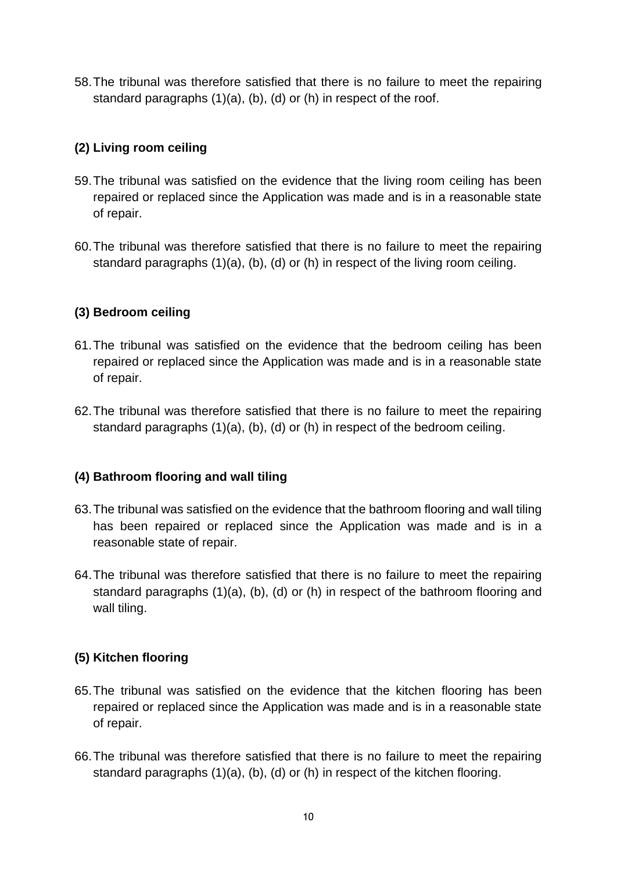58.The tribunal was therefore satisfied that there is no failure to meet the repairing standard paragraphs (1)(a), (b), (d) or (h) in respect of the roof.

## **(2) Living room ceiling**

- 59.The tribunal was satisfied on the evidence that the living room ceiling has been repaired or replaced since the Application was made and is in a reasonable state of repair.
- 60.The tribunal was therefore satisfied that there is no failure to meet the repairing standard paragraphs (1)(a), (b), (d) or (h) in respect of the living room ceiling.

## **(3) Bedroom ceiling**

- 61.The tribunal was satisfied on the evidence that the bedroom ceiling has been repaired or replaced since the Application was made and is in a reasonable state of repair.
- 62.The tribunal was therefore satisfied that there is no failure to meet the repairing standard paragraphs (1)(a), (b), (d) or (h) in respect of the bedroom ceiling.

# **(4) Bathroom flooring and wall tiling**

- 63.The tribunal was satisfied on the evidence that the bathroom flooring and wall tiling has been repaired or replaced since the Application was made and is in a reasonable state of repair.
- 64.The tribunal was therefore satisfied that there is no failure to meet the repairing standard paragraphs (1)(a), (b), (d) or (h) in respect of the bathroom flooring and wall tiling.

# **(5) Kitchen flooring**

- 65.The tribunal was satisfied on the evidence that the kitchen flooring has been repaired or replaced since the Application was made and is in a reasonable state of repair.
- 66.The tribunal was therefore satisfied that there is no failure to meet the repairing standard paragraphs (1)(a), (b), (d) or (h) in respect of the kitchen flooring.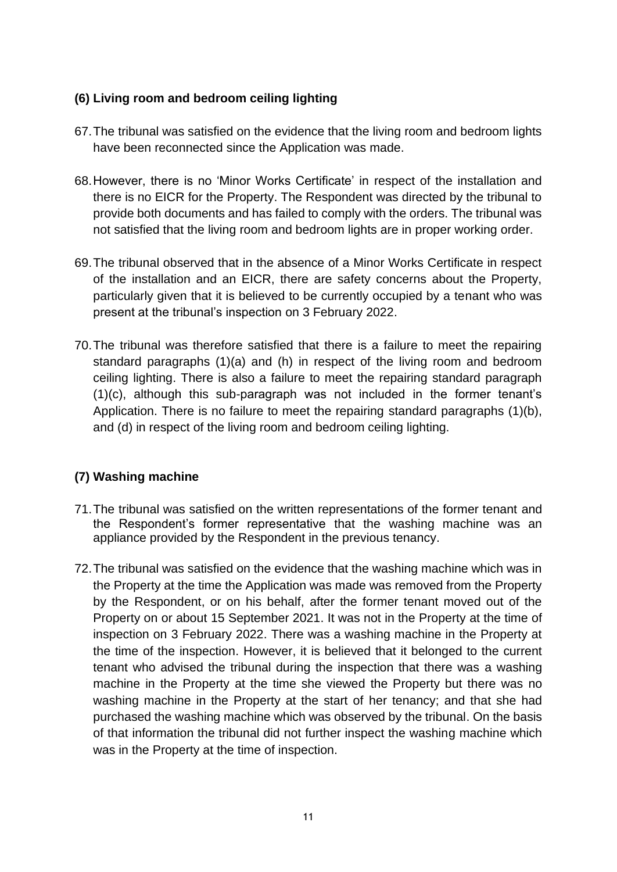## **(6) Living room and bedroom ceiling lighting**

- 67.The tribunal was satisfied on the evidence that the living room and bedroom lights have been reconnected since the Application was made.
- 68.However, there is no 'Minor Works Certificate' in respect of the installation and there is no EICR for the Property. The Respondent was directed by the tribunal to provide both documents and has failed to comply with the orders. The tribunal was not satisfied that the living room and bedroom lights are in proper working order.
- 69.The tribunal observed that in the absence of a Minor Works Certificate in respect of the installation and an EICR, there are safety concerns about the Property, particularly given that it is believed to be currently occupied by a tenant who was present at the tribunal's inspection on 3 February 2022.
- 70.The tribunal was therefore satisfied that there is a failure to meet the repairing standard paragraphs (1)(a) and (h) in respect of the living room and bedroom ceiling lighting. There is also a failure to meet the repairing standard paragraph (1)(c), although this sub-paragraph was not included in the former tenant's Application. There is no failure to meet the repairing standard paragraphs (1)(b), and (d) in respect of the living room and bedroom ceiling lighting.

# **(7) Washing machine**

- 71.The tribunal was satisfied on the written representations of the former tenant and the Respondent's former representative that the washing machine was an appliance provided by the Respondent in the previous tenancy.
- 72.The tribunal was satisfied on the evidence that the washing machine which was in the Property at the time the Application was made was removed from the Property by the Respondent, or on his behalf, after the former tenant moved out of the Property on or about 15 September 2021. It was not in the Property at the time of inspection on 3 February 2022. There was a washing machine in the Property at the time of the inspection. However, it is believed that it belonged to the current tenant who advised the tribunal during the inspection that there was a washing machine in the Property at the time she viewed the Property but there was no washing machine in the Property at the start of her tenancy; and that she had purchased the washing machine which was observed by the tribunal. On the basis of that information the tribunal did not further inspect the washing machine which was in the Property at the time of inspection.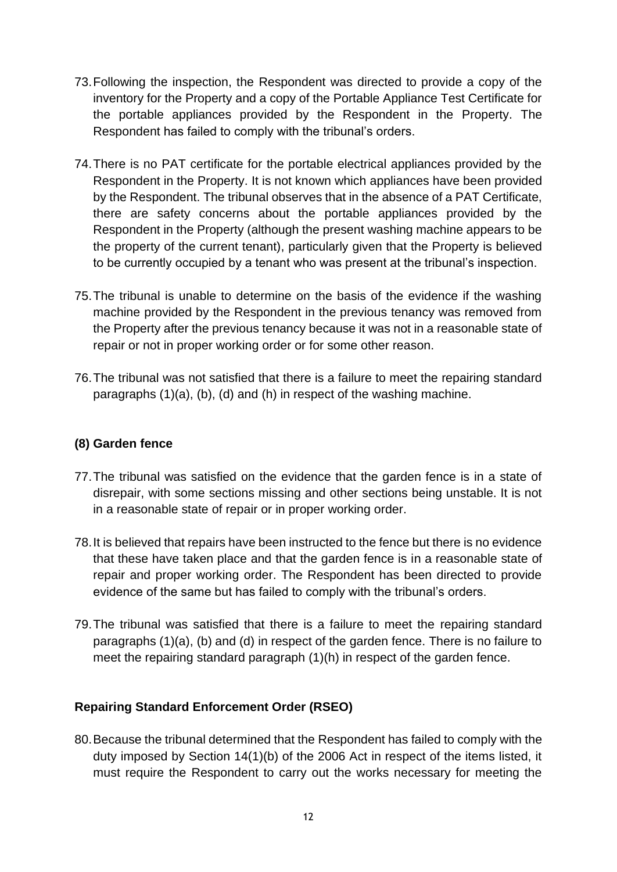- 73.Following the inspection, the Respondent was directed to provide a copy of the inventory for the Property and a copy of the Portable Appliance Test Certificate for the portable appliances provided by the Respondent in the Property. The Respondent has failed to comply with the tribunal's orders.
- 74.There is no PAT certificate for the portable electrical appliances provided by the Respondent in the Property. It is not known which appliances have been provided by the Respondent. The tribunal observes that in the absence of a PAT Certificate, there are safety concerns about the portable appliances provided by the Respondent in the Property (although the present washing machine appears to be the property of the current tenant), particularly given that the Property is believed to be currently occupied by a tenant who was present at the tribunal's inspection.
- 75.The tribunal is unable to determine on the basis of the evidence if the washing machine provided by the Respondent in the previous tenancy was removed from the Property after the previous tenancy because it was not in a reasonable state of repair or not in proper working order or for some other reason.
- 76.The tribunal was not satisfied that there is a failure to meet the repairing standard paragraphs (1)(a), (b), (d) and (h) in respect of the washing machine.

## **(8) Garden fence**

- 77.The tribunal was satisfied on the evidence that the garden fence is in a state of disrepair, with some sections missing and other sections being unstable. It is not in a reasonable state of repair or in proper working order.
- 78.It is believed that repairs have been instructed to the fence but there is no evidence that these have taken place and that the garden fence is in a reasonable state of repair and proper working order. The Respondent has been directed to provide evidence of the same but has failed to comply with the tribunal's orders.
- 79.The tribunal was satisfied that there is a failure to meet the repairing standard paragraphs (1)(a), (b) and (d) in respect of the garden fence. There is no failure to meet the repairing standard paragraph (1)(h) in respect of the garden fence.

### **Repairing Standard Enforcement Order (RSEO)**

80.Because the tribunal determined that the Respondent has failed to comply with the duty imposed by Section 14(1)(b) of the 2006 Act in respect of the items listed, it must require the Respondent to carry out the works necessary for meeting the